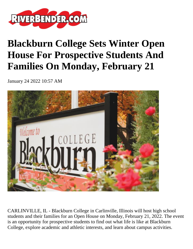

## **Blackburn College Sets Winter Open House For Prospective Students And Families On Monday, February 21**

January 24 2022 10:57 AM



CARLINVILLE, IL - Blackburn College in Carlinville, Illinois will host high school students and their families for an Open House on Monday, February 21, 2022. The event is an opportunity for prospective students to find out what life is like at Blackburn College, explore academic and athletic interests, and learn about campus activities.